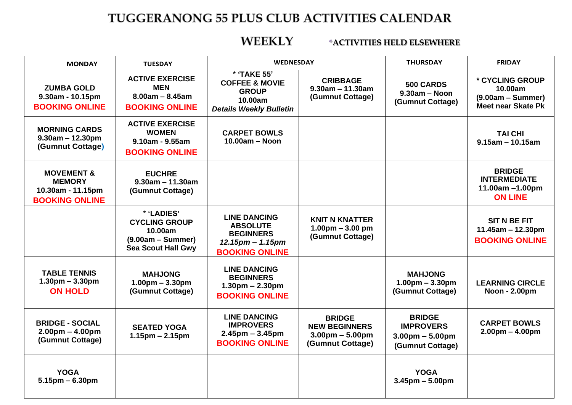## TUGGERANONG 55 PLUS CLUB ACTIVITIES CALENDAR

#### **\*ACTIVITIES HELD ELSEWHERE**

| <b>MONDAY</b>                                                                        | <b>TUESDAY</b>                                                                                    | <b>WEDNESDAY</b>                                                                                              |                                                                                | <b>THURSDAY</b>                                                            | <b>FRIDAY</b>                                                                  |
|--------------------------------------------------------------------------------------|---------------------------------------------------------------------------------------------------|---------------------------------------------------------------------------------------------------------------|--------------------------------------------------------------------------------|----------------------------------------------------------------------------|--------------------------------------------------------------------------------|
| <b>ZUMBA GOLD</b><br>$9.30am - 10.15pm$<br><b>BOOKING ONLINE</b>                     | <b>ACTIVE EXERCISE</b><br><b>MEN</b><br>$8.00am - 8.45am$<br><b>BOOKING ONLINE</b>                | * 'TAKE 55'<br><b>COFFEE &amp; MOVIE</b><br><b>GROUP</b><br>10.00am<br><b>Details Weekly Bulletin</b>         | <b>CRIBBAGE</b><br>$9.30$ am - 11.30am<br>(Gumnut Cottage)                     | 500 CARDS<br>$9.30am - Noon$<br>(Gumnut Cottage)                           | * CYCLING GROUP<br>10.00am<br>$(9.00am - Summer)$<br><b>Meet near Skate Pk</b> |
| <b>MORNING CARDS</b><br>$9.30$ am – 12.30pm<br>(Gumnut Cottage)                      | <b>ACTIVE EXERCISE</b><br><b>WOMEN</b><br>$9.10$ am - $9.55$ am<br><b>BOOKING ONLINE</b>          | <b>CARPET BOWLS</b><br>$10.00am - Noon$                                                                       |                                                                                |                                                                            | <b>TAI CHI</b><br>$9.15$ am - 10.15am                                          |
| <b>MOVEMENT &amp;</b><br><b>MEMORY</b><br>10.30am - 11.15pm<br><b>BOOKING ONLINE</b> | <b>EUCHRE</b><br>$9.30$ am - 11.30am<br>(Gumnut Cottage)                                          |                                                                                                               |                                                                                |                                                                            | <b>BRIDGE</b><br><b>INTERMEDIATE</b><br>11.00am -1.00pm<br><b>ON LINE</b>      |
|                                                                                      | * 'LADIES'<br><b>CYCLING GROUP</b><br>10.00am<br>$(9.00am - Summer)$<br><b>Sea Scout Hall Gwy</b> | <b>LINE DANCING</b><br><b>ABSOLUTE</b><br><b>BEGINNERS</b><br>$12.15$ pm $- 1.15$ pm<br><b>BOOKING ONLINE</b> | <b>KNIT N KNATTER</b><br>$1.00pm - 3.00pm$<br>(Gumnut Cottage)                 |                                                                            | <b>SIT N BE FIT</b><br>$11.45am - 12.30pm$<br><b>BOOKING ONLINE</b>            |
| <b>TABLE TENNIS</b><br>$1.30pm - 3.30pm$<br><b>ON HOLD</b>                           | <b>MAHJONG</b><br>$1.00pm - 3.30pm$<br>(Gumnut Cottage)                                           | <b>LINE DANCING</b><br><b>BEGINNERS</b><br>$1.30pm - 2.30pm$<br><b>BOOKING ONLINE</b>                         |                                                                                | <b>MAHJONG</b><br>$1.00pm - 3.30pm$<br>(Gumnut Cottage)                    | <b>LEARNING CIRCLE</b><br>Noon - 2.00pm                                        |
| <b>BRIDGE - SOCIAL</b><br>$2.00pm - 4.00pm$<br>(Gumnut Cottage)                      | <b>SEATED YOGA</b><br>$1.15$ pm – 2.15pm                                                          | <b>LINE DANCING</b><br><b>IMPROVERS</b><br>$2.45$ pm – 3.45pm<br><b>BOOKING ONLINE</b>                        | <b>BRIDGE</b><br><b>NEW BEGINNERS</b><br>$3.00pm - 5.00pm$<br>(Gumnut Cottage) | <b>BRIDGE</b><br><b>IMPROVERS</b><br>$3.00pm - 5.00pm$<br>(Gumnut Cottage) | <b>CARPET BOWLS</b><br>$2.00pm - 4.00pm$                                       |
| <b>YOGA</b><br>$5.15$ pm – 6.30pm                                                    |                                                                                                   |                                                                                                               |                                                                                | <b>YOGA</b><br>$3.45$ pm $- 5.00$ pm                                       |                                                                                |